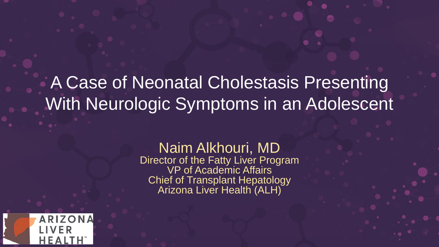### A Case of Neonatal Cholestasis Presenting With Neurologic Symptoms in an Adolescent

### Naim Alkhouri, MD

Director of the Fatty Liver Program VP of Academic Affairs Chief of Transplant Hepatology Arizona Liver Health (ALH)

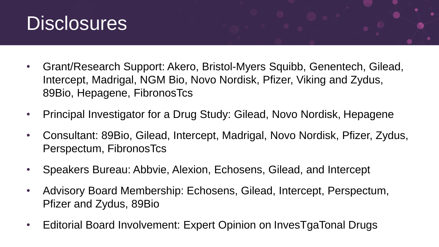

- Grant/Research Support: Akero, Bristol-Myers Squibb, Genentech, Gilead, Intercept, Madrigal, NGM Bio, Novo Nordisk, Pfizer, Viking and Zydus, 89Bio, Hepagene, FibronosTcs
- Principal Investigator for a Drug Study: Gilead, Novo Nordisk, Hepagene
- Consultant: 89Bio, Gilead, Intercept, Madrigal, Novo Nordisk, Pfizer, Zydus, Perspectum, FibronosTcs
- Speakers Bureau: Abbvie, Alexion, Echosens, Gilead, and Intercept
- Advisory Board Membership: Echosens, Gilead, Intercept, Perspectum, Pfizer and Zydus, 89Bio
- Editorial Board Involvement: Expert Opinion on InvesTgaTonal Drugs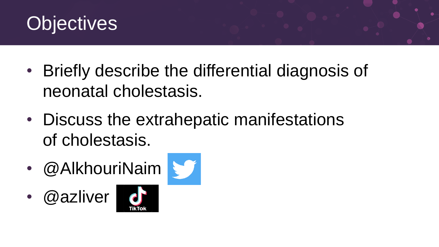

- Briefly describe the differential diagnosis of neonatal cholestasis.
- Discuss the extrahepatic manifestations of cholestasis.
- @AlkhouriNaim
- @azliver



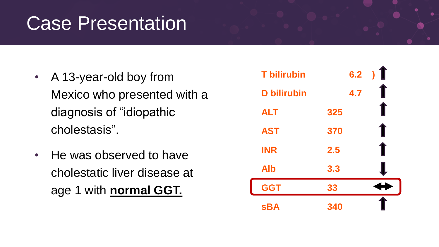### Case Presentation

- A 13-year-old boy from Mexico who presented with a diagnosis of "idiopathic cholestasis".
- He was observed to have cholestatic liver disease at age 1 with **normal GGT.**

| <b>T</b> bilirubin | 6.2 | $\blacksquare$ |
|--------------------|-----|----------------|
| <b>D</b> bilirubin | 4.7 |                |
| <b>ALT</b>         | 325 | Г              |
| <b>AST</b>         | 370 | T              |
| <b>INR</b>         | 2.5 | ſ              |
| <b>Alb</b>         | 3.3 |                |
| <b>GGT</b>         | 33  |                |
| <b>sBA</b>         | 340 |                |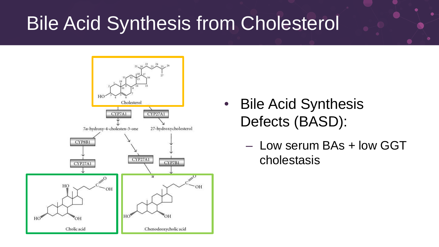## Bile Acid Synthesis from Cholesterol



- Bile Acid Synthesis Defects (BASD):
	- Low serum BAs + low GGT cholestasis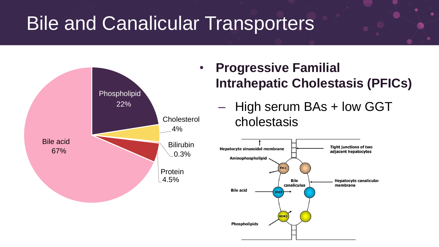## Bile and Canalicular Transporters



- **Progressive Familial Intrahepatic Cholestasis (PFICs)**
	- High serum BAs + low GGT cholestasis

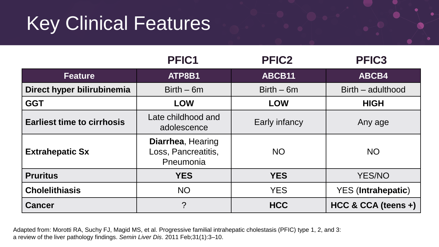# Key Clinical Features

|                                   | PFIC1                                                 | <b>PFIC2</b>  | PFIC <sub>3</sub>         |
|-----------------------------------|-------------------------------------------------------|---------------|---------------------------|
| <b>Feature</b>                    | ATP8B1                                                | ABCB11        | ABCB4                     |
| Direct hyper bilirubinemia        | $Birth-6m$                                            | $Birth-6m$    | Birth – adulthood         |
| <b>GGT</b>                        | <b>LOW</b>                                            | <b>LOW</b>    | <b>HIGH</b>               |
| <b>Earliest time to cirrhosis</b> | Late childhood and<br>adolescence                     | Early infancy | Any age                   |
| <b>Extrahepatic Sx</b>            | Diarrhea, Hearing<br>Loss, Pancreatitis,<br>Pneumonia | <b>NO</b>     | <b>NO</b>                 |
| <b>Pruritus</b>                   | <b>YES</b>                                            | <b>YES</b>    | <b>YES/NO</b>             |
| <b>Cholelithiasis</b>             | <b>NO</b>                                             | <b>YES</b>    | <b>YES</b> (Intrahepatic) |
| <b>Cancer</b>                     | ?                                                     | <b>HCC</b>    | HCC & CCA (teens +)       |

Adapted from: Morotti RA, Suchy FJ, Magid MS, et al. Progressive familial intrahepatic cholestasis (PFIC) type 1, 2, and 3: a review of the liver pathology findings. *Semin Liver Dis*. 2011 Feb;31(1):3–10.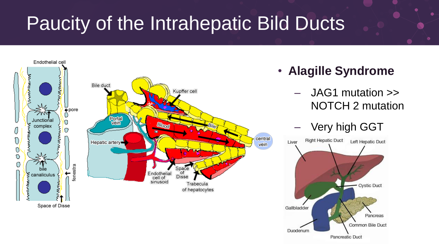# Paucity of the Intrahepatic Bild Ducts

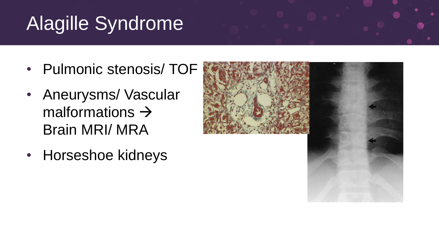# Alagille Syndrome

- Pulmonic stenosis/ TOF
- Aneurysms/ Vascular malformations  $\rightarrow$ Brain MRI/ MRA
- Horseshoe kidneys

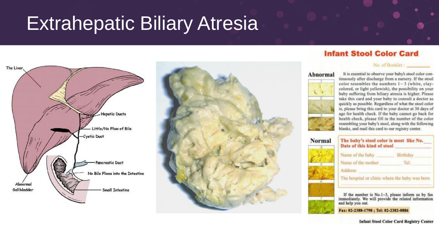### Extrahepatic Biliary Atresia



### **Infant Stool Color Card**

### No. of Booklet : \_\_\_\_\_\_\_\_\_

### Abnormal

![](_page_9_Picture_6.jpeg)

Norma

It is essential to observe your baby's stool color continuously after discharge from a nursery. If the stool color resembles the numbers  $1 - 3$  (white, claycolored, or light yellowish), the possibility on your baby suffering from biliary atresia is higher. Please take this card and your baby to consult a doctor as quickly as possible. Regardless of what the stool color is, please bring this card to your doctor at 30 days of age for health check. If the baby cannot go back for health check, please fill in the number of the color resembling your baby's stool, along with the following blanks, and mail this card to our registry center.

| Name of the baby                               | Birthday |
|------------------------------------------------|----------|
| Name of the mother                             | Tel.     |
| <b>Address</b>                                 |          |
| The hospital or clinic where the baby was borr |          |

immediately. We will provide the related information and help you out.

Fax: 02-2388-1798 ; Tel: 02-2382-0886

**Infant Stool Color Card Registry Center**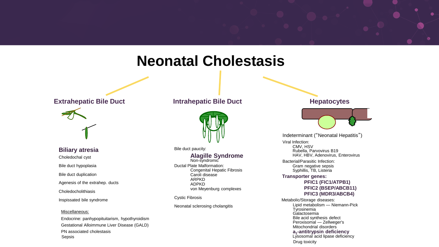### **Neonatal Cholestasis**

### **Extrahepatic Bile Duct Intrahepatic Bile Duct Hepatocytes**

![](_page_10_Picture_2.jpeg)

**Biliary atresia** Choledochal cyst Bile duct hypoplasia Bile duct duplication Agenesis of the extrahep. ducts Choledocholithiasis

Inspissated bile syndrome

### Miscellaneous:

Endocrine: panhypopituitarism, hypothyroidism Gestational Alloimmune Liver Disease (GALD) PN associated cholestasis Sepsis

![](_page_10_Picture_8.jpeg)

Bile duct paucity:

### **Alagille Syndrome**

Non-syndromic Ductal Plate Malformation: Congenital Hepatic Fibrosis Caroli disease ARPKD ADPKD von Meyenburg complexes

Cystic Fibrosis

Neonatal sclerosing cholangitis

![](_page_10_Picture_15.jpeg)

Indeterminant ("Neonatal Hepatitis")

Viral Infection: CMV HSV Rubella, Parvovirus B19 HAV, HBV, Adenovirus, Enterovirus

Bacterial/Parasitic Infection: Gram negative sepsis Syphillis, TB, Listeria

### **Transporter genes:**

### **PFIC1 (FIC1/ATPB1) PFIC2 (BSEP/ABCB11) PFIC3 (MDR3/ABCB4)**

Metabolic/Storage diseases: **Tyrosinemia** Galactosemia Lipid metabolism — Niemann-Pick Bile acid synthesis defect Peroxisomal — Zellweger's Mitochondrial disorders **a1 -antitrypsin deficiency** Lysosomal acid lipase deficiency Drug toxicity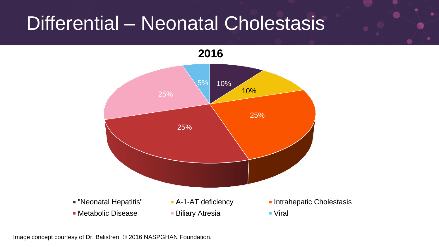### Differential – Neonatal Cholestasis

**2016**

![](_page_11_Figure_2.jpeg)

Image concept courtesy of Dr. Balistreri. © 2016 NASPGHAN Foundation.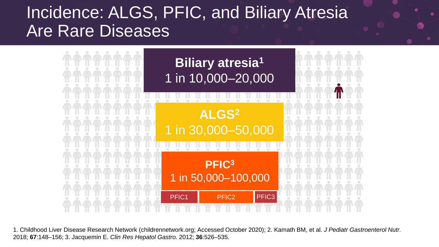### Incidence: ALGS, PFIC, and Biliary Atresia Are Rare Diseases

![](_page_12_Figure_1.jpeg)

1. Childhood Liver Disease Research Network (childrennetwork.org; Accessed October 2020); 2. Kamath BM, et al. *J Pediatr Gastroenterol Nutr.* 2018; **67**:148–156; 3. Jacquemin E. *Clin Res Hepatol Gastro.* 2012; **36**:526–535.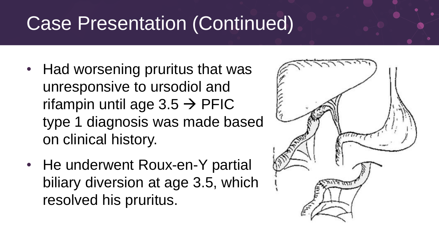# Case Presentation (Continued)

- Had worsening pruritus that was unresponsive to ursodiol and rifampin until age  $3.5 \rightarrow$  PFIC type 1 diagnosis was made based on clinical history.
- He underwent Roux-en-Y partial biliary diversion at age 3.5, which resolved his pruritus.

![](_page_13_Picture_3.jpeg)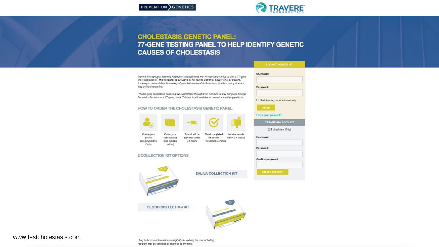![](_page_14_Picture_1.jpeg)

### **CHOLESTASIS GENETIC PANEL:** 77-GENE TESTING PANEL TO HELP IDENTIFY GENETIC **CAUSES OF CHOLESTASIS**

Travere Therapeutics (formerly Retrophin) has partnered with PreventionGenetics to offer a 77-gene cholestasis panel. This resource is provided at no cost to patients, physicians, or payers." It is easy to use and detects an array of potential causes of cholestasis or jaundice, many of which may be life threatening.

The 66-gene cholestasis panel that was performed through EGL Genetics is now being run through PreventionGenetics as a 77-gene panel. This test is still available at no-cost to qualifying patients.

48 hours

### HOW TO ORDER THE CHOLESTASIS GENETIC PANEL

![](_page_14_Picture_6.jpeg)

Create your Order your The kit will be profile collection kit delivered within (US physicians (see options Only) below)

2 COLLECTION KIT OPTIONS

![](_page_14_Picture_9.jpeg)

**SALIVA COLLECTION KIT** 

Send completed

kit back to

PreventionGenetics

Receive results within 2-4 weeks

![](_page_14_Picture_11.jpeg)

www.testcholestasis.com

"Log in for more information on eligibility for waiving the cost of testing. Program may be canceled or changed at any time.

**BLOOD COLLECTION KIT** 

| <b>LOG IN TO ORDER KIT</b>             |  |
|----------------------------------------|--|
| Username:                              |  |
| Password:                              |  |
| □ Next time log me in automatically.   |  |
| <b>LOG IN</b><br>Forgot your password? |  |
| <b>CREATE NEW ACCOUNT</b>              |  |
| (US physicians Only)                   |  |
| Username:                              |  |
| Password:                              |  |
| Confirm password:                      |  |
| <b>CREATE ACCOUNT</b>                  |  |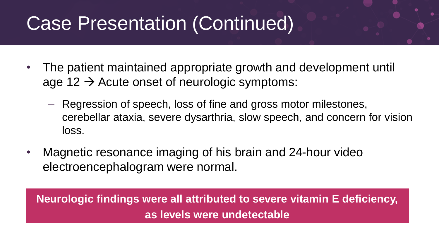## Case Presentation (Continued)

- The patient maintained appropriate growth and development until age 12  $\rightarrow$  Acute onset of neurologic symptoms:
	- Regression of speech, loss of fine and gross motor milestones, cerebellar ataxia, severe dysarthria, slow speech, and concern for vision loss.
- Magnetic resonance imaging of his brain and 24-hour video electroencephalogram were normal.

**Neurologic findings were all attributed to severe vitamin E deficiency, as levels were undetectable**